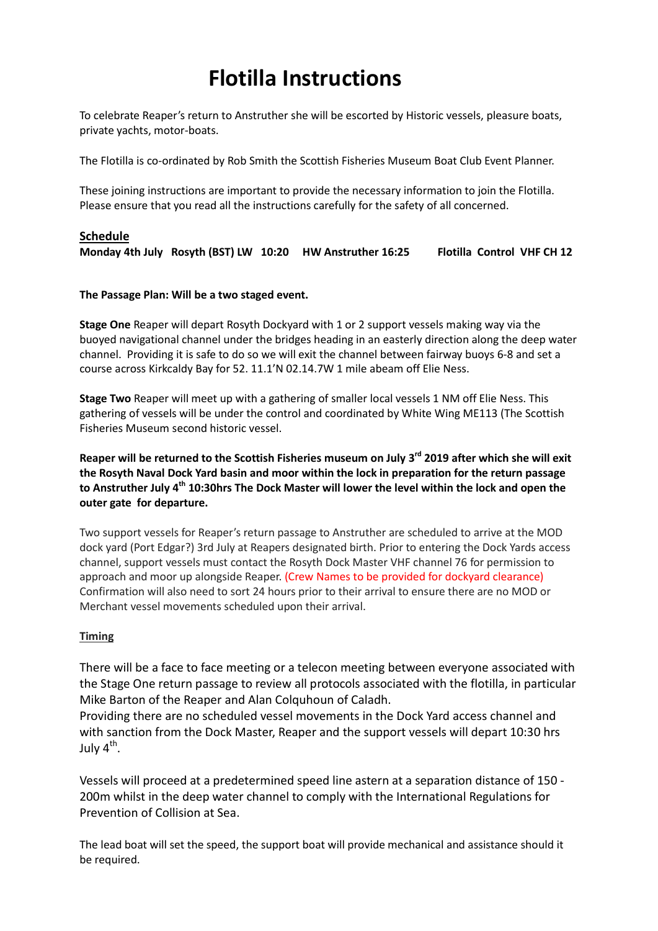# Flotilla Instructions

To celebrate Reaper's return to Anstruther she will be escorted by Historic vessels, pleasure boats, private yachts, motor-boats.

The Flotilla is co-ordinated by Rob Smith the Scottish Fisheries Museum Boat Club Event Planner.

These joining instructions are important to provide the necessary information to join the Flotilla. Please ensure that you read all the instructions carefully for the safety of all concerned.

# Schedule Monday 4th July Rosyth (BST) LW 10:20 HW Anstruther 16:25 Flotilla Control VHF CH 12

## The Passage Plan: Will be a two staged event.

Stage One Reaper will depart Rosyth Dockyard with 1 or 2 support vessels making way via the buoyed navigational channel under the bridges heading in an easterly direction along the deep water channel. Providing it is safe to do so we will exit the channel between fairway buoys 6-8 and set a course across Kirkcaldy Bay for 52. 11.1'N 02.14.7W 1 mile abeam off Elie Ness.

Stage Two Reaper will meet up with a gathering of smaller local vessels 1 NM off Elie Ness. This gathering of vessels will be under the control and coordinated by White Wing ME113 (The Scottish Fisheries Museum second historic vessel.

Reaper will be returned to the Scottish Fisheries museum on July 3<sup>rd</sup> 2019 after which she will exit the Rosyth Naval Dock Yard basin and moor within the lock in preparation for the return passage to Anstruther July 4<sup>th</sup> 10:30hrs The Dock Master will lower the level within the lock and open the outer gate for departure.

Two support vessels for Reaper's return passage to Anstruther are scheduled to arrive at the MOD dock yard (Port Edgar?) 3rd July at Reapers designated birth. Prior to entering the Dock Yards access channel, support vessels must contact the Rosyth Dock Master VHF channel 76 for permission to approach and moor up alongside Reaper. (Crew Names to be provided for dockyard clearance) Confirmation will also need to sort 24 hours prior to their arrival to ensure there are no MOD or Merchant vessel movements scheduled upon their arrival.

## Timing

There will be a face to face meeting or a telecon meeting between everyone associated with the Stage One return passage to review all protocols associated with the flotilla, in particular Mike Barton of the Reaper and Alan Colquhoun of Caladh.

Providing there are no scheduled vessel movements in the Dock Yard access channel and with sanction from the Dock Master, Reaper and the support vessels will depart 10:30 hrs July 4<sup>th</sup>.

Vessels will proceed at a predetermined speed line astern at a separation distance of 150 - 200m whilst in the deep water channel to comply with the International Regulations for Prevention of Collision at Sea.

The lead boat will set the speed, the support boat will provide mechanical and assistance should it be required.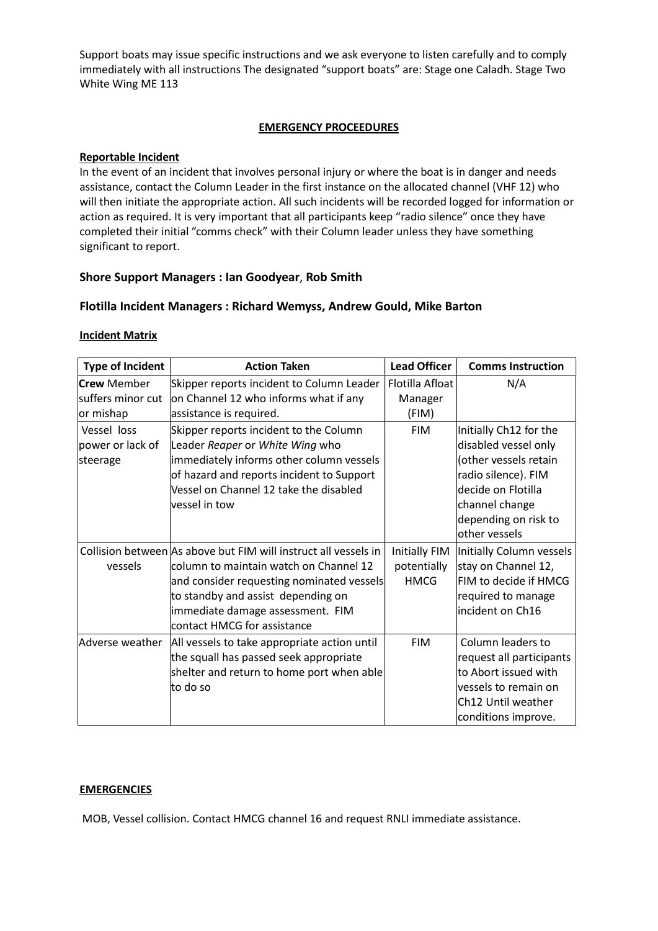Support boats may issue specific instructions and we ask everyone to listen carefully and to comply immediately with all instructions The designated "support boats" are: Stage one Caladh. Stage Two White Wing ME 113

#### EMERGENCY PROCEEDURES

#### Reportable Incident

In the event of an incident that involves personal injury or where the boat is in danger and needs assistance, contact the Column Leader in the first instance on the allocated channel (VHF 12) who will then initiate the appropriate action. All such incidents will be recorded logged for information or action as required. It is very important that all participants keep "radio silence" once they have completed their initial "comms check" with their Column leader unless they have something significant to report.

#### Shore Support Managers : Ian Goodyear, Rob Smith

#### Flotilla Incident Managers : Richard Wemyss, Andrew Gould, Mike Barton

#### Incident Matrix

| <b>Type of Incident</b> | <b>Action Taken</b>                                             | <b>Lead Officer</b>  | <b>Comms Instruction</b> |
|-------------------------|-----------------------------------------------------------------|----------------------|--------------------------|
| <b>Crew</b> Member      | Skipper reports incident to Column Leader                       | Flotilla Afloat      | N/A                      |
| suffers minor cut       | on Channel 12 who informs what if any                           | Manager              |                          |
| or mishap               | assistance is required.                                         | (FIM)                |                          |
| Vessel loss             | Skipper reports incident to the Column                          | <b>FIM</b>           | Initially Ch12 for the   |
| power or lack of        | Leader Reaper or White Wing who                                 |                      | disabled vessel only     |
| steerage                | immediately informs other column vessels                        |                      | (other vessels retain    |
|                         | of hazard and reports incident to Support                       |                      | radio silence). FIM      |
|                         | Vessel on Channel 12 take the disabled                          |                      | decide on Flotilla       |
|                         | vessel in tow                                                   |                      | channel change           |
|                         |                                                                 |                      | depending on risk to     |
|                         |                                                                 |                      | other vessels            |
|                         | Collision between As above but FIM will instruct all vessels in | <b>Initially FIM</b> | Initially Column vessels |
| vessels                 | column to maintain watch on Channel 12                          | potentially          | stay on Channel 12,      |
|                         | and consider requesting nominated vessels                       | <b>HMCG</b>          | FIM to decide if HMCG    |
|                         | to standby and assist depending on                              |                      | required to manage       |
|                         | immediate damage assessment. FIM                                |                      | incident on Ch16         |
|                         | contact HMCG for assistance                                     |                      |                          |
| Adverse weather         | All vessels to take appropriate action until                    | <b>FIM</b>           | Column leaders to        |
|                         | the squall has passed seek appropriate                          |                      | request all participants |
|                         | shelter and return to home port when able                       |                      | to Abort issued with     |
|                         | to do so                                                        |                      | vessels to remain on     |
|                         |                                                                 |                      | Ch12 Until weather       |
|                         |                                                                 |                      | conditions improve.      |

#### **EMERGENCIES**

MOB, Vessel collision. Contact HMCG channel 16 and request RNLI immediate assistance.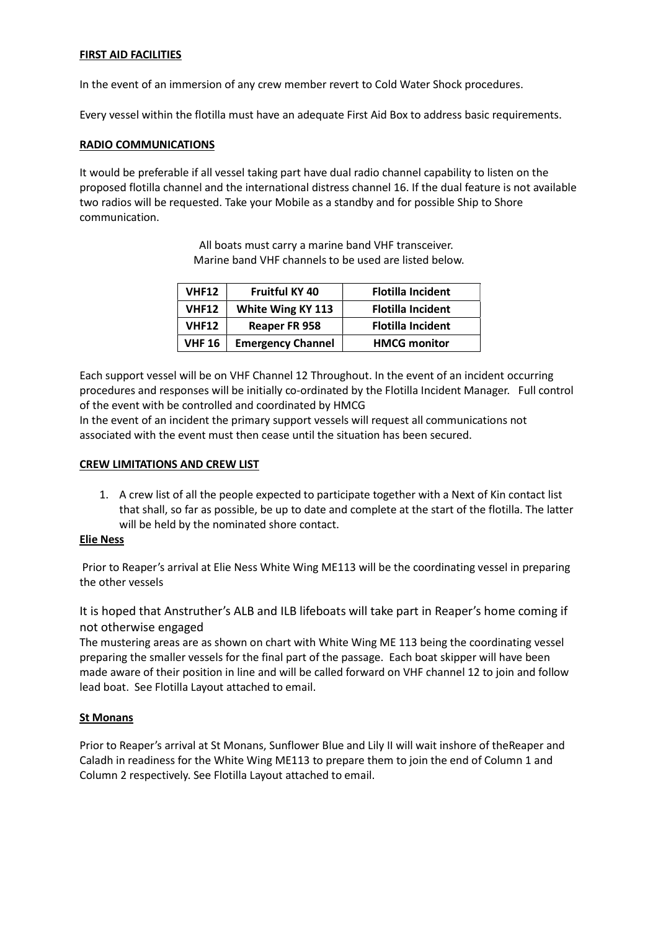### FIRST AID FACILITIES

In the event of an immersion of any crew member revert to Cold Water Shock procedures.

Every vessel within the flotilla must have an adequate First Aid Box to address basic requirements.

#### RADIO COMMUNICATIONS

It would be preferable if all vessel taking part have dual radio channel capability to listen on the proposed flotilla channel and the international distress channel 16. If the dual feature is not available two radios will be requested. Take your Mobile as a standby and for possible Ship to Shore communication.

> All boats must carry a marine band VHF transceiver. Marine band VHF channels to be used are listed below.

| <b>VHF12</b>  | <b>Fruitful KY 40</b>    | <b>Flotilla Incident</b> |
|---------------|--------------------------|--------------------------|
| <b>VHF12</b>  | White Wing KY 113        | <b>Flotilla Incident</b> |
| <b>VHF12</b>  | <b>Reaper FR 958</b>     | <b>Flotilla Incident</b> |
| <b>VHF 16</b> | <b>Emergency Channel</b> | <b>HMCG monitor</b>      |

Each support vessel will be on VHF Channel 12 Throughout. In the event of an incident occurring procedures and responses will be initially co-ordinated by the Flotilla Incident Manager. Full control of the event with be controlled and coordinated by HMCG

In the event of an incident the primary support vessels will request all communications not associated with the event must then cease until the situation has been secured.

#### CREW LIMITATIONS AND CREW LIST

1. A crew list of all the people expected to participate together with a Next of Kin contact list that shall, so far as possible, be up to date and complete at the start of the flotilla. The latter will be held by the nominated shore contact.

#### Elie Ness

 Prior to Reaper's arrival at Elie Ness White Wing ME113 will be the coordinating vessel in preparing the other vessels

It is hoped that Anstruther's ALB and ILB lifeboats will take part in Reaper's home coming if not otherwise engaged

The mustering areas are as shown on chart with White Wing ME 113 being the coordinating vessel preparing the smaller vessels for the final part of the passage. Each boat skipper will have been made aware of their position in line and will be called forward on VHF channel 12 to join and follow lead boat. See Flotilla Layout attached to email.

#### St Monans

Prior to Reaper's arrival at St Monans, Sunflower Blue and Lily II will wait inshore of theReaper and Caladh in readiness for the White Wing ME113 to prepare them to join the end of Column 1 and Column 2 respectively. See Flotilla Layout attached to email.